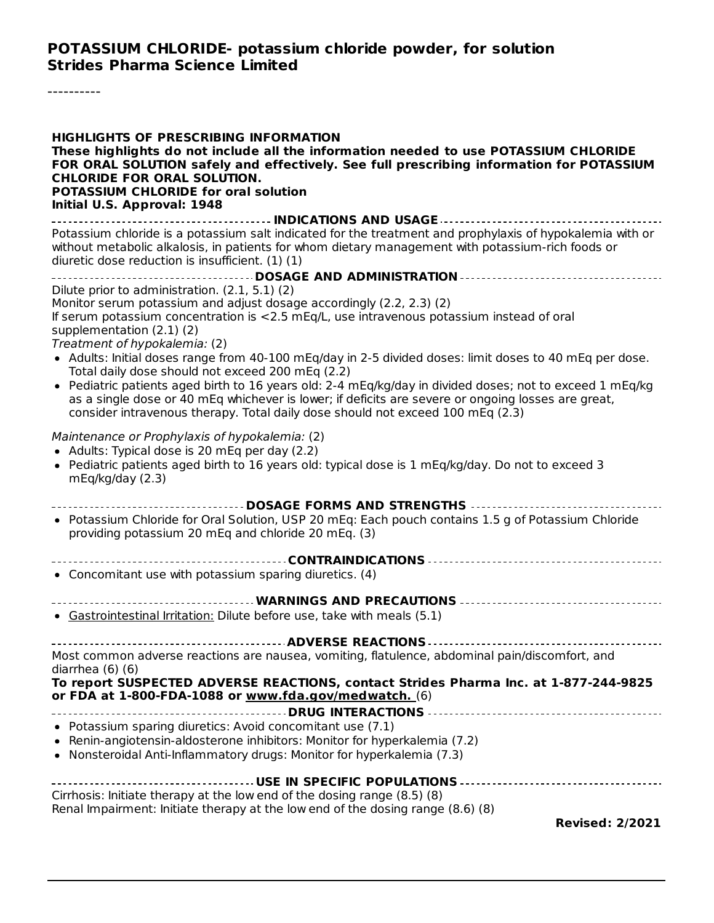#### **POTASSIUM CHLORIDE- potassium chloride powder, for solution Strides Pharma Science Limited**

----------

| <b>HIGHLIGHTS OF PRESCRIBING INFORMATION</b><br>These highlights do not include all the information needed to use POTASSIUM CHLORIDE<br>FOR ORAL SOLUTION safely and effectively. See full prescribing information for POTASSIUM<br><b>CHLORIDE FOR ORAL SOLUTION.</b><br><b>POTASSIUM CHLORIDE for oral solution</b><br>Initial U.S. Approval: 1948                                                                                                                                                                                                                                                                                                                                                                                                 |
|------------------------------------------------------------------------------------------------------------------------------------------------------------------------------------------------------------------------------------------------------------------------------------------------------------------------------------------------------------------------------------------------------------------------------------------------------------------------------------------------------------------------------------------------------------------------------------------------------------------------------------------------------------------------------------------------------------------------------------------------------|
| Potassium chloride is a potassium salt indicated for the treatment and prophylaxis of hypokalemia with or<br>without metabolic alkalosis, in patients for whom dietary management with potassium-rich foods or<br>diuretic dose reduction is insufficient. (1) (1)                                                                                                                                                                                                                                                                                                                                                                                                                                                                                   |
| Dilute prior to administration. (2.1, 5.1) (2)<br>Monitor serum potassium and adjust dosage accordingly (2.2, 2.3) (2)<br>If serum potassium concentration is <2.5 mEq/L, use intravenous potassium instead of oral<br>supplementation (2.1) (2)<br>Treatment of hypokalemia: (2)<br>• Adults: Initial doses range from 40-100 mEq/day in 2-5 divided doses: limit doses to 40 mEq per dose.<br>Total daily dose should not exceed 200 mEq (2.2)<br>• Pediatric patients aged birth to 16 years old: 2-4 mEq/kg/day in divided doses; not to exceed 1 mEq/kg<br>as a single dose or 40 mEg whichever is lower; if deficits are severe or ongoing losses are great,<br>consider intravenous therapy. Total daily dose should not exceed 100 mEq (2.3) |
| Maintenance or Prophylaxis of hypokalemia: (2)<br>• Adults: Typical dose is 20 mEq per day (2.2)<br>• Pediatric patients aged birth to 16 years old: typical dose is 1 mEg/kg/day. Do not to exceed 3<br>mEq/kg/day (2.3)                                                                                                                                                                                                                                                                                                                                                                                                                                                                                                                            |
| DOSAGE FORMS AND STRENGTHS<br>• Potassium Chloride for Oral Solution, USP 20 mEq: Each pouch contains 1.5 g of Potassium Chloride<br>providing potassium 20 mEq and chloride 20 mEq. (3)                                                                                                                                                                                                                                                                                                                                                                                                                                                                                                                                                             |
| • Concomitant use with potassium sparing diuretics. (4)                                                                                                                                                                                                                                                                                                                                                                                                                                                                                                                                                                                                                                                                                              |
| • Gastrointestinal Irritation: Dilute before use, take with meals (5.1)                                                                                                                                                                                                                                                                                                                                                                                                                                                                                                                                                                                                                                                                              |
| Most common adverse reactions are nausea, vomiting, flatulence, abdominal pain/discomfort, and<br>diarrhea $(6)(6)$<br>To report SUSPECTED ADVERSE REACTIONS, contact Strides Pharma Inc. at 1-877-244-9825<br>or FDA at 1-800-FDA-1088 or www.fda.gov/medwatch. (6)                                                                                                                                                                                                                                                                                                                                                                                                                                                                                 |
| • Potassium sparing diuretics: Avoid concomitant use (7.1)<br>• Renin-angiotensin-aldosterone inhibitors: Monitor for hyperkalemia (7.2)<br>• Nonsteroidal Anti-Inflammatory drugs: Monitor for hyperkalemia (7.3)                                                                                                                                                                                                                                                                                                                                                                                                                                                                                                                                   |
| Cirrhosis: Initiate therapy at the low end of the dosing range (8.5) (8)<br>Renal Impairment: Initiate therapy at the low end of the dosing range (8.6) (8)<br><b>Revised: 2/2021</b>                                                                                                                                                                                                                                                                                                                                                                                                                                                                                                                                                                |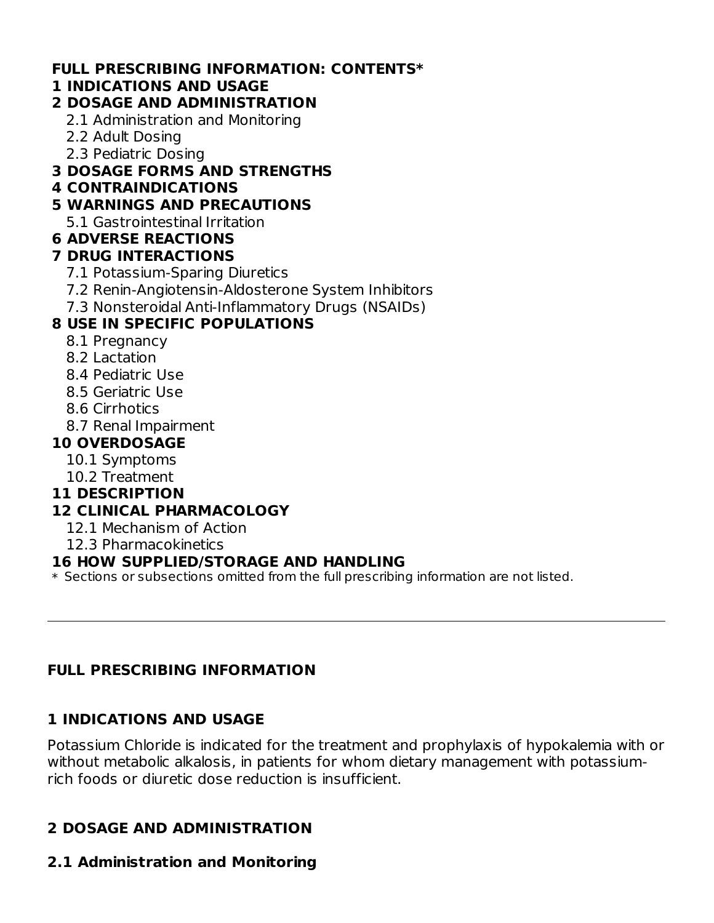#### **FULL PRESCRIBING INFORMATION: CONTENTS\***

#### **1 INDICATIONS AND USAGE**

## **2 DOSAGE AND ADMINISTRATION**

- 2.1 Administration and Monitoring
- 2.2 Adult Dosing
- 2.3 Pediatric Dosing

## **3 DOSAGE FORMS AND STRENGTHS**

**4 CONTRAINDICATIONS**

# **5 WARNINGS AND PRECAUTIONS**

5.1 Gastrointestinal Irritation

# **6 ADVERSE REACTIONS**

## **7 DRUG INTERACTIONS**

- 7.1 Potassium-Sparing Diuretics
- 7.2 Renin-Angiotensin-Aldosterone System Inhibitors
- 7.3 Nonsteroidal Anti-Inflammatory Drugs (NSAIDs)

# **8 USE IN SPECIFIC POPULATIONS**

- 8.1 Pregnancy
- 8.2 Lactation
- 8.4 Pediatric Use
- 8.5 Geriatric Use
- 8.6 Cirrhotics
- 8.7 Renal Impairment

# **10 OVERDOSAGE**

- 10.1 Symptoms
- 10.2 Treatment
- **11 DESCRIPTION**

# **12 CLINICAL PHARMACOLOGY**

- 12.1 Mechanism of Action
- 12.3 Pharmacokinetics

## **16 HOW SUPPLIED/STORAGE AND HANDLING**

 $\ast$  Sections or subsections omitted from the full prescribing information are not listed.

## **FULL PRESCRIBING INFORMATION**

# **1 INDICATIONS AND USAGE**

Potassium Chloride is indicated for the treatment and prophylaxis of hypokalemia with or without metabolic alkalosis, in patients for whom dietary management with potassiumrich foods or diuretic dose reduction is insufficient.

# **2 DOSAGE AND ADMINISTRATION**

## **2.1 Administration and Monitoring**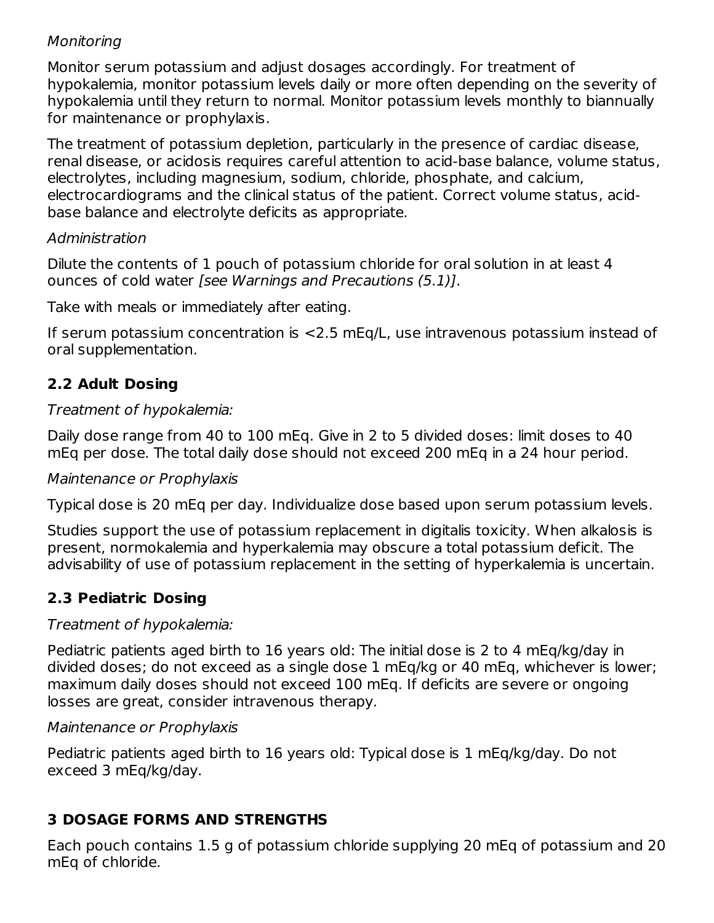## Monitoring

Monitor serum potassium and adjust dosages accordingly. For treatment of hypokalemia, monitor potassium levels daily or more often depending on the severity of hypokalemia until they return to normal. Monitor potassium levels monthly to biannually for maintenance or prophylaxis.

The treatment of potassium depletion, particularly in the presence of cardiac disease, renal disease, or acidosis requires careful attention to acid-base balance, volume status, electrolytes, including magnesium, sodium, chloride, phosphate, and calcium, electrocardiograms and the clinical status of the patient. Correct volume status, acidbase balance and electrolyte deficits as appropriate.

#### Administration

Dilute the contents of 1 pouch of potassium chloride for oral solution in at least 4 ounces of cold water [see Warnings and Precautions (5.1)].

Take with meals or immediately after eating.

If serum potassium concentration is <2.5 mEq/L, use intravenous potassium instead of oral supplementation.

# **2.2 Adult Dosing**

#### Treatment of hypokalemia:

Daily dose range from 40 to 100 mEq. Give in 2 to 5 divided doses: limit doses to 40 mEq per dose. The total daily dose should not exceed 200 mEq in a 24 hour period.

#### Maintenance or Prophylaxis

Typical dose is 20 mEq per day. Individualize dose based upon serum potassium levels.

Studies support the use of potassium replacement in digitalis toxicity. When alkalosis is present, normokalemia and hyperkalemia may obscure a total potassium deficit. The advisability of use of potassium replacement in the setting of hyperkalemia is uncertain.

# **2.3 Pediatric Dosing**

#### Treatment of hypokalemia:

Pediatric patients aged birth to 16 years old: The initial dose is 2 to 4 mEq/kg/day in divided doses; do not exceed as a single dose 1 mEq/kg or 40 mEq, whichever is lower; maximum daily doses should not exceed 100 mEq. If deficits are severe or ongoing losses are great, consider intravenous therapy.

#### Maintenance or Prophylaxis

Pediatric patients aged birth to 16 years old: Typical dose is 1 mEq/kg/day. Do not exceed 3 mEq/kg/day.

## **3 DOSAGE FORMS AND STRENGTHS**

Each pouch contains 1.5 g of potassium chloride supplying 20 mEq of potassium and 20 mEq of chloride.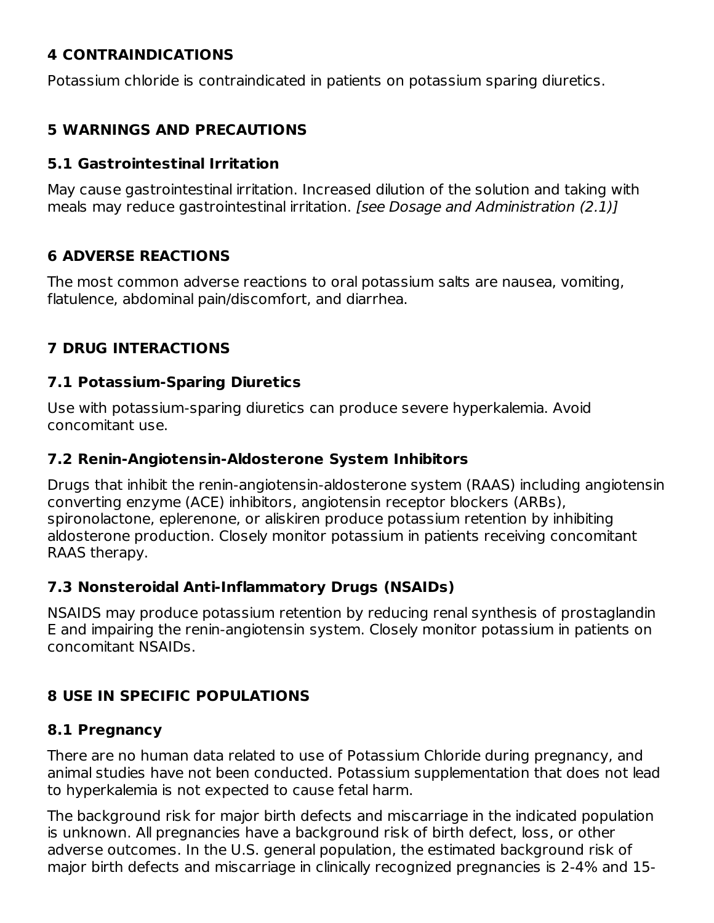# **4 CONTRAINDICATIONS**

Potassium chloride is contraindicated in patients on potassium sparing diuretics.

# **5 WARNINGS AND PRECAUTIONS**

#### **5.1 Gastrointestinal Irritation**

May cause gastrointestinal irritation. Increased dilution of the solution and taking with meals may reduce gastrointestinal irritation. [see Dosage and Administration (2.1)]

# **6 ADVERSE REACTIONS**

The most common adverse reactions to oral potassium salts are nausea, vomiting, flatulence, abdominal pain/discomfort, and diarrhea.

# **7 DRUG INTERACTIONS**

#### **7.1 Potassium-Sparing Diuretics**

Use with potassium-sparing diuretics can produce severe hyperkalemia. Avoid concomitant use.

#### **7.2 Renin-Angiotensin-Aldosterone System Inhibitors**

Drugs that inhibit the renin-angiotensin-aldosterone system (RAAS) including angiotensin converting enzyme (ACE) inhibitors, angiotensin receptor blockers (ARBs), spironolactone, eplerenone, or aliskiren produce potassium retention by inhibiting aldosterone production. Closely monitor potassium in patients receiving concomitant RAAS therapy.

## **7.3 Nonsteroidal Anti-Inflammatory Drugs (NSAIDs)**

NSAIDS may produce potassium retention by reducing renal synthesis of prostaglandin E and impairing the renin-angiotensin system. Closely monitor potassium in patients on concomitant NSAIDs.

# **8 USE IN SPECIFIC POPULATIONS**

## **8.1 Pregnancy**

There are no human data related to use of Potassium Chloride during pregnancy, and animal studies have not been conducted. Potassium supplementation that does not lead to hyperkalemia is not expected to cause fetal harm.

The background risk for major birth defects and miscarriage in the indicated population is unknown. All pregnancies have a background risk of birth defect, loss, or other adverse outcomes. In the U.S. general population, the estimated background risk of major birth defects and miscarriage in clinically recognized pregnancies is 2-4% and 15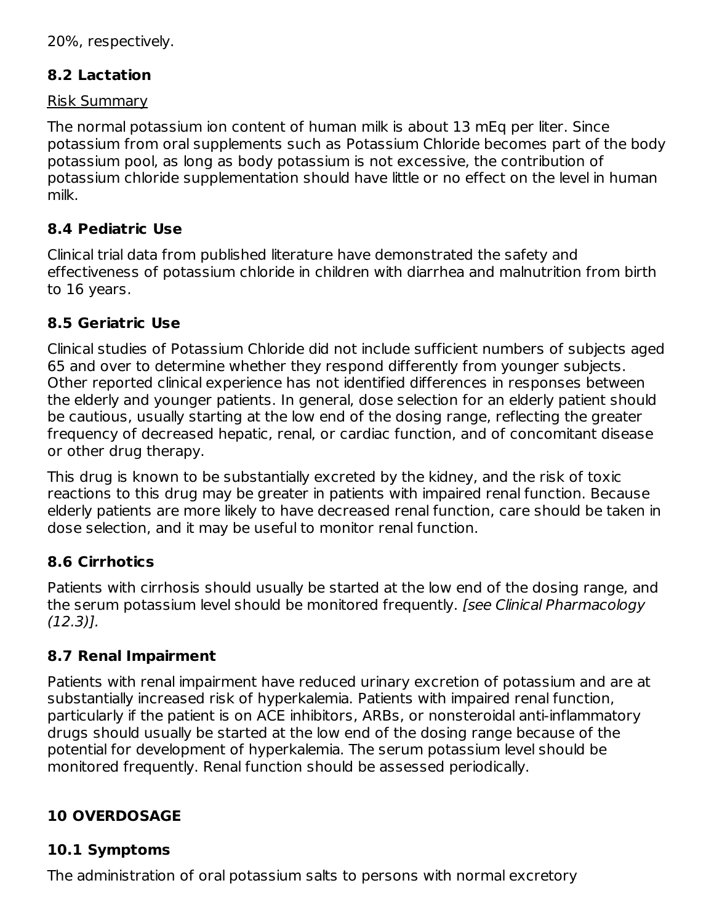20%, respectively.

## **8.2 Lactation**

#### Risk Summary

The normal potassium ion content of human milk is about 13 mEq per liter. Since potassium from oral supplements such as Potassium Chloride becomes part of the body potassium pool, as long as body potassium is not excessive, the contribution of potassium chloride supplementation should have little or no effect on the level in human milk.

## **8.4 Pediatric Use**

Clinical trial data from published literature have demonstrated the safety and effectiveness of potassium chloride in children with diarrhea and malnutrition from birth to 16 years.

#### **8.5 Geriatric Use**

Clinical studies of Potassium Chloride did not include sufficient numbers of subjects aged 65 and over to determine whether they respond differently from younger subjects. Other reported clinical experience has not identified differences in responses between the elderly and younger patients. In general, dose selection for an elderly patient should be cautious, usually starting at the low end of the dosing range, reflecting the greater frequency of decreased hepatic, renal, or cardiac function, and of concomitant disease or other drug therapy.

This drug is known to be substantially excreted by the kidney, and the risk of toxic reactions to this drug may be greater in patients with impaired renal function. Because elderly patients are more likely to have decreased renal function, care should be taken in dose selection, and it may be useful to monitor renal function.

## **8.6 Cirrhotics**

Patients with cirrhosis should usually be started at the low end of the dosing range, and the serum potassium level should be monitored frequently. [see Clinical Pharmacology (12.3)].

## **8.7 Renal Impairment**

Patients with renal impairment have reduced urinary excretion of potassium and are at substantially increased risk of hyperkalemia. Patients with impaired renal function, particularly if the patient is on ACE inhibitors, ARBs, or nonsteroidal anti-inflammatory drugs should usually be started at the low end of the dosing range because of the potential for development of hyperkalemia. The serum potassium level should be monitored frequently. Renal function should be assessed periodically.

# **10 OVERDOSAGE**

## **10.1 Symptoms**

The administration of oral potassium salts to persons with normal excretory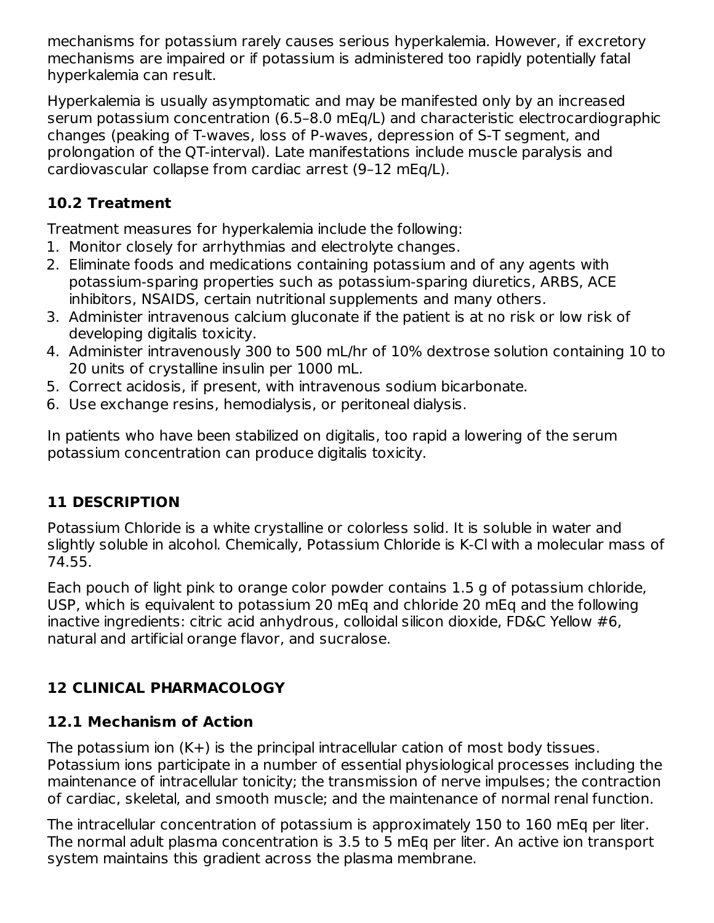mechanisms for potassium rarely causes serious hyperkalemia. However, if excretory mechanisms are impaired or if potassium is administered too rapidly potentially fatal hyperkalemia can result.

Hyperkalemia is usually asymptomatic and may be manifested only by an increased serum potassium concentration (6.5–8.0 mEq/L) and characteristic electrocardiographic changes (peaking of T-waves, loss of P-waves, depression of S-T segment, and prolongation of the QT-interval). Late manifestations include muscle paralysis and cardiovascular collapse from cardiac arrest (9–12 mEq/L).

# **10.2 Treatment**

Treatment measures for hyperkalemia include the following:

- 1. Monitor closely for arrhythmias and electrolyte changes.
- 2. Eliminate foods and medications containing potassium and of any agents with potassium-sparing properties such as potassium-sparing diuretics, ARBS, ACE inhibitors, NSAIDS, certain nutritional supplements and many others.
- 3. Administer intravenous calcium gluconate if the patient is at no risk or low risk of developing digitalis toxicity.
- 4. Administer intravenously 300 to 500 mL/hr of 10% dextrose solution containing 10 to 20 units of crystalline insulin per 1000 mL.
- 5. Correct acidosis, if present, with intravenous sodium bicarbonate.
- 6. Use exchange resins, hemodialysis, or peritoneal dialysis.

In patients who have been stabilized on digitalis, too rapid a lowering of the serum potassium concentration can produce digitalis toxicity.

# **11 DESCRIPTION**

Potassium Chloride is a white crystalline or colorless solid. It is soluble in water and slightly soluble in alcohol. Chemically, Potassium Chloride is K-Cl with a molecular mass of 74.55.

Each pouch of light pink to orange color powder contains 1.5 g of potassium chloride, USP, which is equivalent to potassium 20 mEq and chloride 20 mEq and the following inactive ingredients: citric acid anhydrous, colloidal silicon dioxide, FD&C Yellow #6, natural and artificial orange flavor, and sucralose.

# **12 CLINICAL PHARMACOLOGY**

# **12.1 Mechanism of Action**

The potassium ion (K+) is the principal intracellular cation of most body tissues. Potassium ions participate in a number of essential physiological processes including the maintenance of intracellular tonicity; the transmission of nerve impulses; the contraction of cardiac, skeletal, and smooth muscle; and the maintenance of normal renal function.

The intracellular concentration of potassium is approximately 150 to 160 mEq per liter. The normal adult plasma concentration is 3.5 to 5 mEq per liter. An active ion transport system maintains this gradient across the plasma membrane.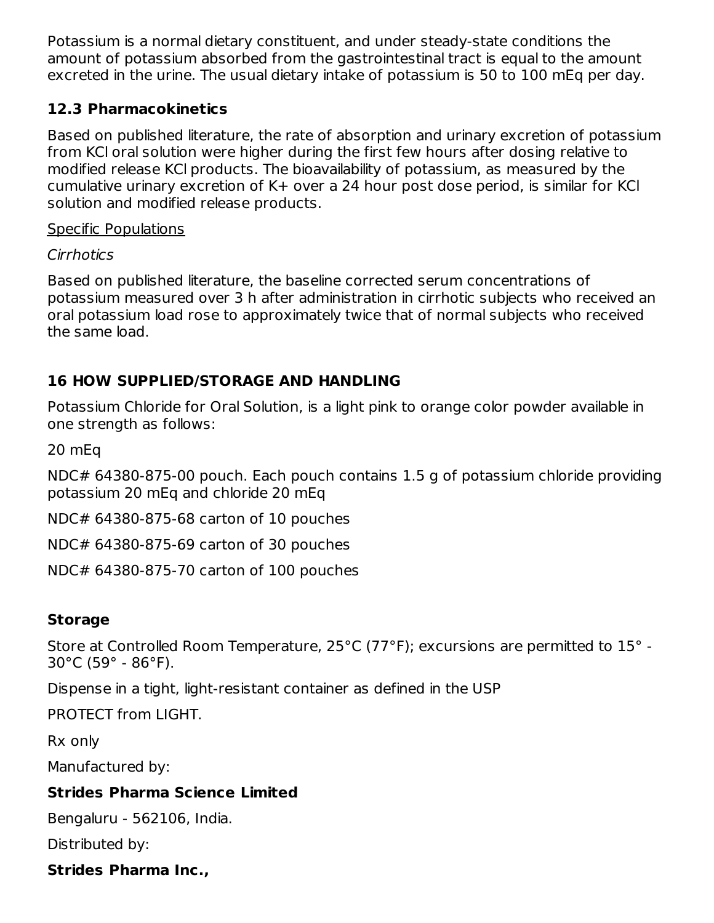Potassium is a normal dietary constituent, and under steady-state conditions the amount of potassium absorbed from the gastrointestinal tract is equal to the amount excreted in the urine. The usual dietary intake of potassium is 50 to 100 mEq per day.

# **12.3 Pharmacokinetics**

Based on published literature, the rate of absorption and urinary excretion of potassium from KCl oral solution were higher during the first few hours after dosing relative to modified release KCl products. The bioavailability of potassium, as measured by the cumulative urinary excretion of K+ over a 24 hour post dose period, is similar for KCl solution and modified release products.

## Specific Populations

# Cirrhotics

Based on published literature, the baseline corrected serum concentrations of potassium measured over 3 h after administration in cirrhotic subjects who received an oral potassium load rose to approximately twice that of normal subjects who received the same load.

# **16 HOW SUPPLIED/STORAGE AND HANDLING**

Potassium Chloride for Oral Solution, is a light pink to orange color powder available in one strength as follows:

20 mEq

NDC# 64380-875-00 pouch. Each pouch contains 1.5 g of potassium chloride providing potassium 20 mEq and chloride 20 mEq

NDC# 64380-875-68 carton of 10 pouches

NDC# 64380-875-69 carton of 30 pouches

NDC# 64380-875-70 carton of 100 pouches

# **Storage**

Store at Controlled Room Temperature, 25°C (77°F); excursions are permitted to 15° - 30°C (59° - 86°F).

Dispense in a tight, light-resistant container as defined in the USP

PROTECT from LIGHT.

Rx only

Manufactured by:

# **Strides Pharma Science Limited**

Bengaluru - 562106, India.

Distributed by:

# **Strides Pharma Inc.,**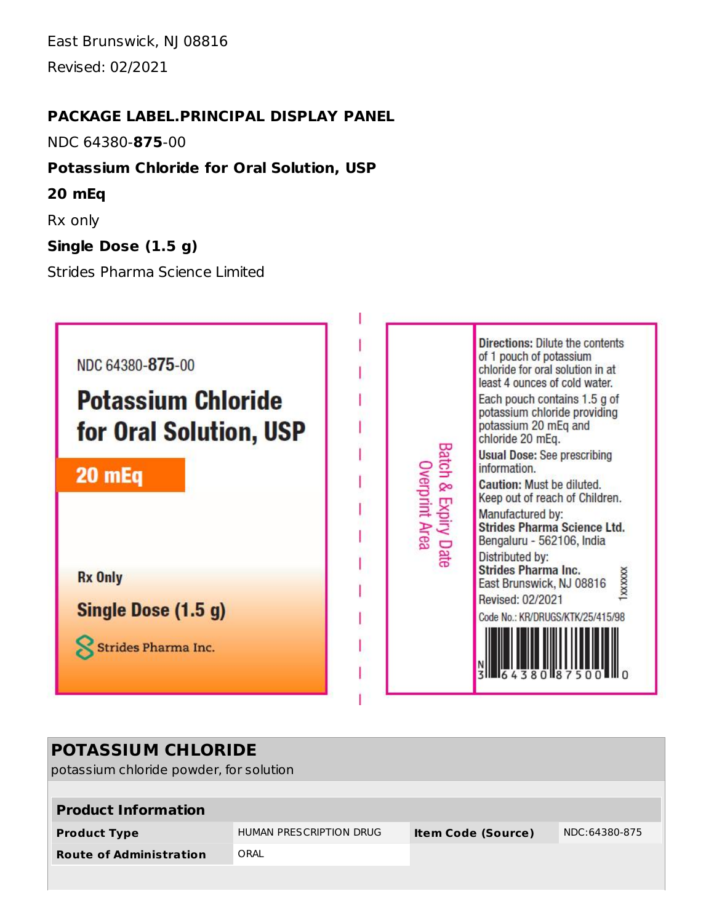East Brunswick, NJ 08816 Revised: 02/2021

#### **PACKAGE LABEL.PRINCIPAL DISPLAY PANEL**

NDC 64380-**875**-00

## **Potassium Chloride for Oral Solution, USP**

- **20 mEq**
- Rx only

## **Single Dose (1.5 g)**

Strides Pharma Science Limited



| <b>POTASSIUM CHLORIDE</b><br>potassium chloride powder, for solution |                                                      |  |               |  |  |  |  |
|----------------------------------------------------------------------|------------------------------------------------------|--|---------------|--|--|--|--|
| <b>Product Information</b>                                           |                                                      |  |               |  |  |  |  |
| <b>Product Type</b>                                                  | HUMAN PRESCRIPTION DRUG<br><b>Item Code (Source)</b> |  | NDC:64380-875 |  |  |  |  |
| <b>Route of Administration</b>                                       | ORAL                                                 |  |               |  |  |  |  |
|                                                                      |                                                      |  |               |  |  |  |  |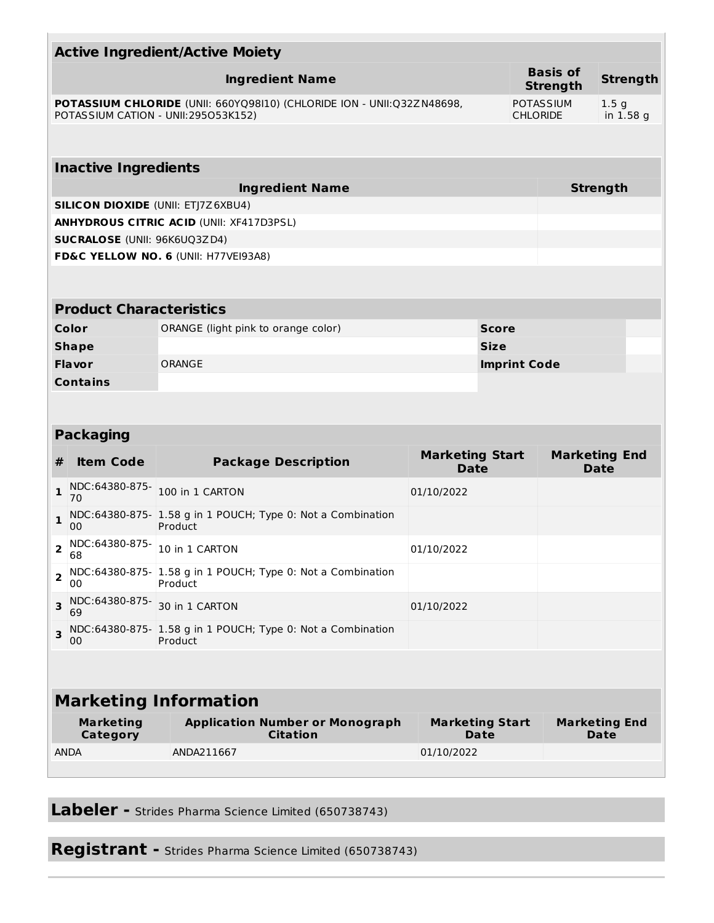|                                                                                                                |                                                                              | <b>Active Ingredient/Active Moiety</b>                                 |                                       |              |                                     |                                     |  |
|----------------------------------------------------------------------------------------------------------------|------------------------------------------------------------------------------|------------------------------------------------------------------------|---------------------------------------|--------------|-------------------------------------|-------------------------------------|--|
| <b>Ingredient Name</b>                                                                                         |                                                                              |                                                                        |                                       |              | <b>Basis of</b><br><b>Strength</b>  | <b>Strength</b>                     |  |
| POTASSIUM CHLORIDE (UNII: 660YQ98I10) (CHLORIDE ION - UNII:Q32Z N48698,<br>POTASSIUM CATION - UNII:295053K152) |                                                                              |                                                                        |                                       |              | <b>POTASSIUM</b><br><b>CHLORIDE</b> | 1.5 <sub>g</sub><br>in 1.58 g       |  |
|                                                                                                                |                                                                              |                                                                        |                                       |              |                                     |                                     |  |
|                                                                                                                | <b>Inactive Ingredients</b>                                                  |                                                                        |                                       |              |                                     |                                     |  |
|                                                                                                                |                                                                              | <b>Ingredient Name</b>                                                 |                                       |              |                                     | <b>Strength</b>                     |  |
|                                                                                                                |                                                                              | <b>SILICON DIOXIDE (UNII: ETJ7Z6XBU4)</b>                              |                                       |              |                                     |                                     |  |
|                                                                                                                |                                                                              | <b>ANHYDROUS CITRIC ACID (UNII: XF417D3PSL)</b>                        |                                       |              |                                     |                                     |  |
|                                                                                                                | <b>SUCRALOSE (UNII: 96K6UQ3ZD4)</b>                                          |                                                                        |                                       |              |                                     |                                     |  |
|                                                                                                                |                                                                              | FD&C YELLOW NO. 6 (UNII: H77VEI93A8)                                   |                                       |              |                                     |                                     |  |
|                                                                                                                |                                                                              |                                                                        |                                       |              |                                     |                                     |  |
|                                                                                                                | <b>Product Characteristics</b>                                               |                                                                        |                                       |              |                                     |                                     |  |
|                                                                                                                | Color                                                                        | ORANGE (light pink to orange color)                                    |                                       | <b>Score</b> |                                     |                                     |  |
|                                                                                                                | <b>Shape</b>                                                                 |                                                                        |                                       | <b>Size</b>  |                                     |                                     |  |
|                                                                                                                | Flavor                                                                       | ORANGE                                                                 |                                       |              | <b>Imprint Code</b>                 |                                     |  |
|                                                                                                                | <b>Contains</b>                                                              |                                                                        |                                       |              |                                     |                                     |  |
|                                                                                                                |                                                                              |                                                                        |                                       |              |                                     |                                     |  |
|                                                                                                                | <b>Packaging</b>                                                             |                                                                        |                                       |              |                                     |                                     |  |
| #                                                                                                              | <b>Item Code</b>                                                             | <b>Package Description</b>                                             | <b>Marketing Start</b><br><b>Date</b> |              |                                     | <b>Marketing End</b><br>Date        |  |
| $\mathbf{1}$                                                                                                   | NDC:64380-875-<br>70                                                         | 100 in 1 CARTON                                                        | 01/10/2022                            |              |                                     |                                     |  |
| $\mathbf{1}$                                                                                                   | NDC:64380-875- 1.58 g in 1 POUCH; Type 0: Not a Combination<br>Product<br>00 |                                                                        |                                       |              |                                     |                                     |  |
| $\overline{2}$                                                                                                 | NDC:64380-875-<br>10 in 1 CARTON<br>01/10/2022<br>68                         |                                                                        |                                       |              |                                     |                                     |  |
| $\overline{2}$<br>Product<br>00                                                                                |                                                                              | NDC:64380-875- 1.58 g in 1 POUCH; Type 0: Not a Combination            |                                       |              |                                     |                                     |  |
| 3                                                                                                              | NDC:64380-875-<br>30 in 1 CARTON<br>01/10/2022<br>69                         |                                                                        |                                       |              |                                     |                                     |  |
| 3                                                                                                              | 00                                                                           | NDC:64380-875- 1.58 g in 1 POUCH; Type 0: Not a Combination<br>Product |                                       |              |                                     |                                     |  |
|                                                                                                                |                                                                              |                                                                        |                                       |              |                                     |                                     |  |
| <b>Marketing Information</b>                                                                                   |                                                                              |                                                                        |                                       |              |                                     |                                     |  |
|                                                                                                                | <b>Marketing</b><br>Category                                                 | <b>Application Number or Monograph</b><br><b>Citation</b>              | <b>Marketing Start</b>                | <b>Date</b>  |                                     | <b>Marketing End</b><br><b>Date</b> |  |
|                                                                                                                | <b>ANDA</b>                                                                  | ANDA211667                                                             | 01/10/2022                            |              |                                     |                                     |  |
|                                                                                                                |                                                                              |                                                                        |                                       |              |                                     |                                     |  |

**Labeler -** Strides Pharma Science Limited (650738743)

**Registrant -** Strides Pharma Science Limited (650738743)